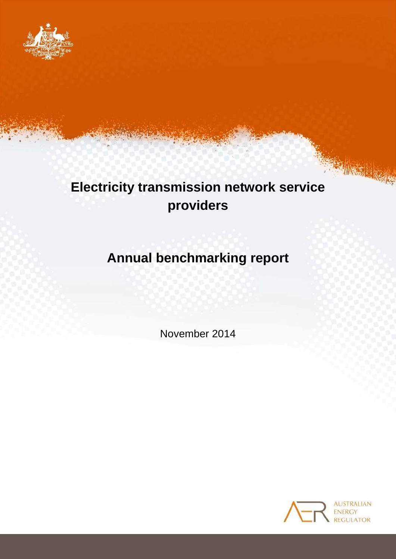

# **Electricity transmission network service providers**

# **Annual benchmarking report**

November 2014

Annual transmission benchmarking report 1



INSTERNE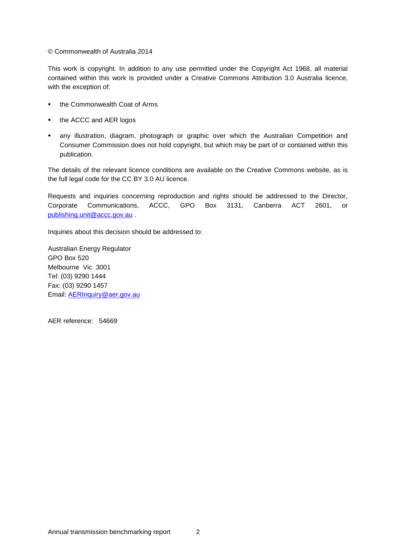© Commonwealth of Australia 2014

This work is copyright. In addition to any use permitted under the Copyright Act 1968, all material contained within this work is provided under a Creative Commons Attribution 3.0 Australia licence, with the exception of:

- the Commonwealth Coat of Arms
- the ACCC and AER logos
- any illustration, diagram, photograph or graphic over which the Australian Competition and Consumer Commission does not hold copyright, but which may be part of or contained within this publication.

The details of the relevant licence conditions are available on the Creative Commons website, as is the full legal code for the CC BY 3.0 AU licence.

Requests and inquiries concerning reproduction and rights should be addressed to the Director, Corporate Communications, ACCC, GPO Box 3131, Canberra ACT 2601, or [publishing.unit@accc.gov.au](mailto:publishing.unit@accc.gov.au) .

Inquiries about this decision should be addressed to:

Australian Energy Regulator GPO Box 520 Melbourne Vic 3001 Tel: (03) 9290 1444 Fax: (03) 9290 1457 Email: [AERInquiry@aer.gov.au](mailto:AERInquiry@aer.gov.au)

AER reference: 54669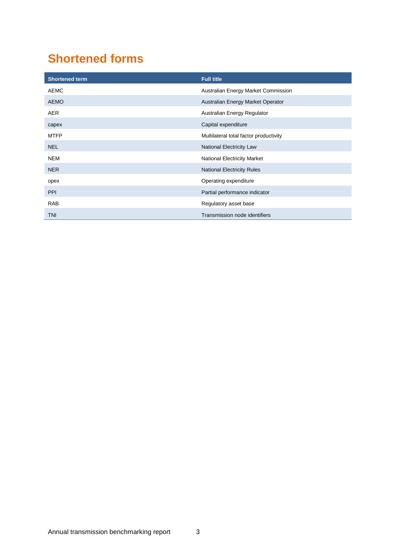## <span id="page-2-0"></span>**Shortened forms**

| <b>Shortened term</b> | <b>Full title</b>                      |
|-----------------------|----------------------------------------|
| <b>AEMC</b>           | Australian Energy Market Commission    |
| <b>AEMO</b>           | Australian Energy Market Operator      |
| AER                   | Australian Energy Regulator            |
| capex                 | Capital expenditure                    |
| <b>MTFP</b>           | Multilateral total factor productivity |
| <b>NEL</b>            | National Electricity Law               |
| <b>NEM</b>            | <b>National Electricity Market</b>     |
| <b>NER</b>            | National Electricity Rules             |
| opex                  | Operating expenditure                  |
| <b>PPI</b>            | Partial performance indicator          |
| <b>RAB</b>            | Regulatory asset base                  |
| <b>TNI</b>            | Transmission node identifiers          |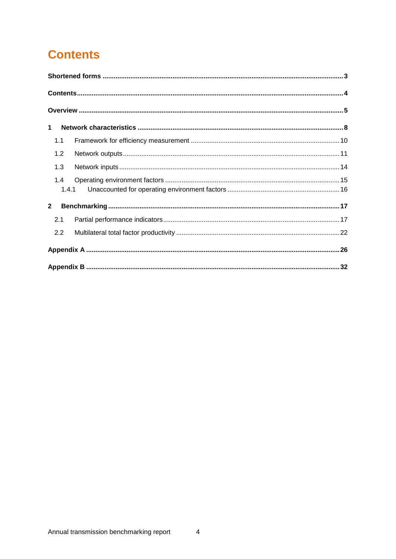## <span id="page-3-0"></span>**Contents**

| $\mathbf 1$  |       |  |  |  |
|--------------|-------|--|--|--|
| 1.1          |       |  |  |  |
| 1.2          |       |  |  |  |
| 1.3          |       |  |  |  |
| 1.4          |       |  |  |  |
|              | 1.4.1 |  |  |  |
| $\mathbf{2}$ |       |  |  |  |
| 2.1          |       |  |  |  |
| 2.2          |       |  |  |  |
|              |       |  |  |  |
|              |       |  |  |  |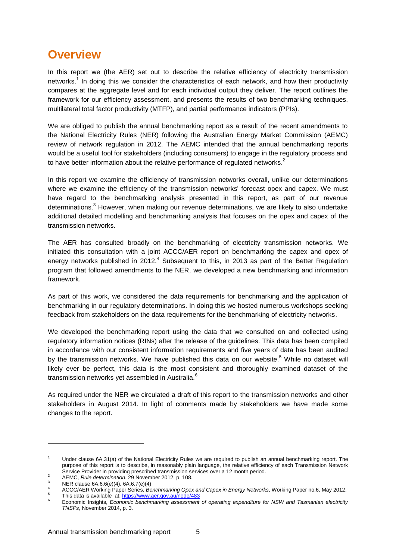## <span id="page-4-0"></span>**Overview**

In this report we (the AER) set out to describe the relative efficiency of electricity transmission networks.<sup>1</sup> In doing this we consider the characteristics of each network, and how their productivity compares at the aggregate level and for each individual output they deliver. The report outlines the framework for our efficiency assessment, and presents the results of two benchmarking techniques, multilateral total factor productivity (MTFP), and partial performance indicators (PPIs).

We are obliged to publish the annual benchmarking report as a result of the recent amendments to the National Electricity Rules (NER) following the Australian Energy Market Commission (AEMC) review of network regulation in 2012. The AEMC intended that the annual benchmarking reports would be a useful tool for stakeholders (including consumers) to engage in the regulatory process and to have better information about the relative performance of regulated networks.<sup>2</sup>

In this report we examine the efficiency of transmission networks overall, unlike our determinations where we examine the efficiency of the transmission networks' forecast opex and capex. We must have regard to the benchmarking analysis presented in this report, as part of our revenue determinations.<sup>3</sup> However, when making our revenue determinations, we are likely to also undertake additional detailed modelling and benchmarking analysis that focuses on the opex and capex of the transmission networks.

The AER has consulted broadly on the benchmarking of electricity transmission networks. We initiated this consultation with a joint ACCC/AER report on benchmarking the capex and opex of energy networks published in 2012. $<sup>4</sup>$  Subsequent to this, in 2013 as part of the Better Regulation</sup> program that followed amendments to the NER, we developed a new benchmarking and information framework.

As part of this work, we considered the data requirements for benchmarking and the application of benchmarking in our regulatory determinations. In doing this we hosted numerous workshops seeking feedback from stakeholders on the data requirements for the benchmarking of electricity networks.

We developed the benchmarking report using the data that we consulted on and collected using regulatory information notices (RINs) after the release of the guidelines. This data has been compiled in accordance with our consistent information requirements and five years of data has been audited by the transmission networks. We have published this data on our website.<sup>5</sup> While no dataset will likely ever be perfect, this data is the most consistent and thoroughly examined dataset of the transmission networks vet assembled in Australia.<sup>6</sup>

As required under the NER we circulated a draft of this report to the transmission networks and other stakeholders in August 2014. In light of comments made by stakeholders we have made some changes to the report.

1

Under clause 6A.31(a) of the National Electricity Rules we are required to publish an annual benchmarking report. The purpose of this report is to describe, in reasonably plain language, the relative efficiency of each Transmission Network Service Provider in providing prescribed transmission services over a 12 month period.

<sup>&</sup>lt;sup>2</sup> AEMC, *Rule determination*, 29 November 2012, p. 108.

 $^{3}$  NER clause 6A.6.6(e)(4), 6A.6.7(e)(4)

<sup>4</sup> ACCC/AER Working Paper Series, *Benchmarking Opex and Capex in Energy Networks*, Working Paper no.6, May 2012. 5

This data is available at[: https://www.aer.gov.au/node/483](https://www.aer.gov.au/node/483)

<sup>&</sup>lt;sup>6</sup> Economic Insights, *Economic benchmarking assessment of operating expenditure for NSW and Tasmanian electricity TNSPs*, November 2014, p. 3.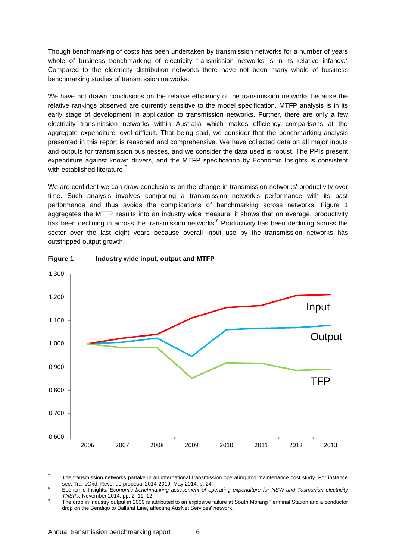Though benchmarking of costs has been undertaken by transmission networks for a number of years whole of business benchmarking of electricity transmission networks is in its relative infancy.<sup>7</sup> Compared to the electricity distribution networks there have not been many whole of business benchmarking studies of transmission networks.

We have not drawn conclusions on the relative efficiency of the transmission networks because the relative rankings observed are currently sensitive to the model specification. MTFP analysis is in its early stage of development in application to transmission networks. Further, there are only a few electricity transmission networks within Australia which makes efficiency comparisons at the aggregate expenditure level difficult. That being said, we consider that the benchmarking analysis presented in this report is reasoned and comprehensive. We have collected data on all major inputs and outputs for transmission businesses, and we consider the data used is robust. The PPIs present expenditure against known drivers, and the MTFP specification by Economic Insights is consistent with established literature.<sup>8</sup>

We are confident we can draw conclusions on the change in transmission networks' productivity over time. Such analysis involves comparing a transmission network's performance with its past performance and thus avoids the complications of benchmarking across networks. [Figure 1](#page-5-0) aggregates the MTFP results into an industry wide measure; it shows that on average, productivity has been declining in across the transmission networks.<sup>9</sup> Productivity has been declining across the sector over the last eight years because overall input use by the transmission networks has outstripped output growth.



#### <span id="page-5-0"></span>**Figure 1 Industry wide input, output and MTFP**

<sup>7</sup> The transmission networks partake in an international transmission operating and maintenance cost study. For instance see: TransGrid, Revenue proposal 2014-2019, May 2014, p. 24.

<sup>8</sup> Economic Insights, *Economic benchmarking assessment of operating expenditure for NSW and Tasmanian electricity TNSPs*, November 2014, pp. 2, 11–12.

 $\alpha$ The drop in industry output in 2009 is attributed to an explosive failure at South Morang Terminal Station and a conductor drop on the Bendigo to Ballarat Line, affecting AusNet Services' network.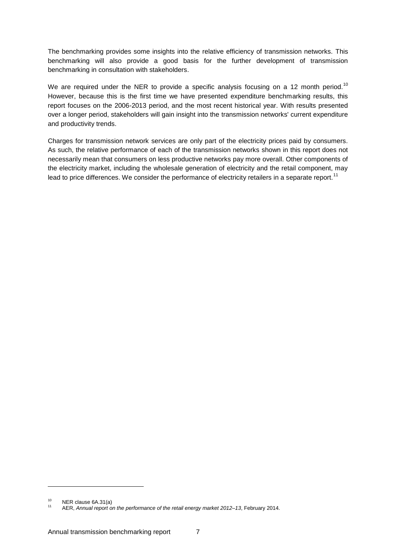The benchmarking provides some insights into the relative efficiency of transmission networks. This benchmarking will also provide a good basis for the further development of transmission benchmarking in consultation with stakeholders.

We are required under the NER to provide a specific analysis focusing on a 12 month period.<sup>10</sup> However, because this is the first time we have presented expenditure benchmarking results, this report focuses on the 2006-2013 period, and the most recent historical year. With results presented over a longer period, stakeholders will gain insight into the transmission networks' current expenditure and productivity trends.

Charges for transmission network services are only part of the electricity prices paid by consumers. As such, the relative performance of each of the transmission networks shown in this report does not necessarily mean that consumers on less productive networks pay more overall. Other components of the electricity market, including the wholesale generation of electricity and the retail component, may lead to price differences. We consider the performance of electricity retailers in a separate report.<sup>11</sup>

1

 $^{10}$  NER clause 6A.31(a)

<sup>11</sup> AER, *Annual report on the performance of the retail energy market 2012–13*, February 2014.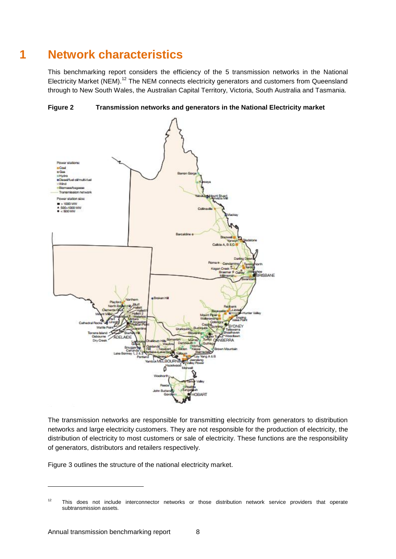## **1 Network characteristics**

<span id="page-7-0"></span>This benchmarking report considers the efficiency of the 5 transmission networks in the National Electricity Market (NEM).<sup>12</sup> The NEM connects electricity generators and customers from Queensland through to New South Wales, the Australian Capital Territory, Victoria, South Australia and Tasmania.





The transmission networks are responsible for transmitting electricity from generators to distribution networks and large electricity customers. They are not responsible for the production of electricity, the distribution of electricity to most customers or sale of electricity. These functions are the responsibility of generators, distributors and retailers respectively.

[Figure 3](#page-8-0) outlines the structure of the national electricity market.

1

<sup>&</sup>lt;sup>12</sup> This does not include interconnector networks or those distribution network service providers that operate subtransmission assets.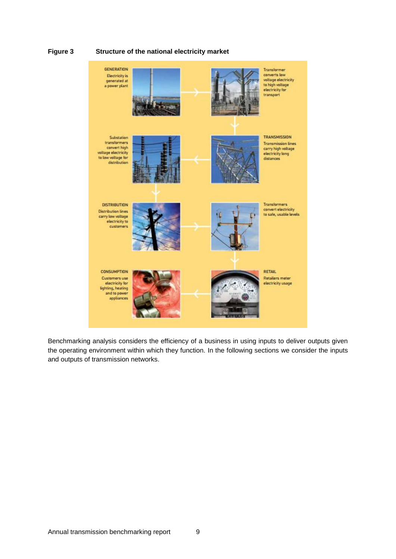#### <span id="page-8-0"></span>**Figure 3 Structure of the national electricity market**



Benchmarking analysis considers the efficiency of a business in using inputs to deliver outputs given the operating environment within which they function. In the following sections we consider the inputs and outputs of transmission networks.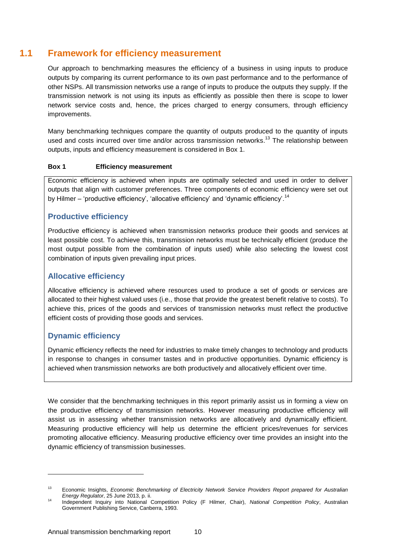## **1.1 Framework for efficiency measurement**

<span id="page-9-0"></span>Our approach to benchmarking measures the efficiency of a business in using inputs to produce outputs by comparing its current performance to its own past performance and to the performance of other NSPs. All transmission networks use a range of inputs to produce the outputs they supply. If the transmission network is not using its inputs as efficiently as possible then there is scope to lower network service costs and, hence, the prices charged to energy consumers, through efficiency improvements.

Many benchmarking techniques compare the quantity of outputs produced to the quantity of inputs used and costs incurred over time and/or across transmission networks.<sup>13</sup> The relationship between outputs, inputs and efficiency measurement is considered in Box 1.

#### **Box 1 Efficiency measurement**

Economic efficiency is achieved when inputs are optimally selected and used in order to deliver outputs that align with customer preferences. Three components of economic efficiency were set out by Hilmer – 'productive efficiency', 'allocative efficiency' and 'dynamic efficiency'.<sup>14</sup>

#### **Productive efficiency**

Productive efficiency is achieved when transmission networks produce their goods and services at least possible cost. To achieve this, transmission networks must be technically efficient (produce the most output possible from the combination of inputs used) while also selecting the lowest cost combination of inputs given prevailing input prices.

#### **Allocative efficiency**

Allocative efficiency is achieved where resources used to produce a set of goods or services are allocated to their highest valued uses (i.e., those that provide the greatest benefit relative to costs). To achieve this, prices of the goods and services of transmission networks must reflect the productive efficient costs of providing those goods and services.

#### **Dynamic efficiency**

-

Dynamic efficiency reflects the need for industries to make timely changes to technology and products in response to changes in consumer tastes and in productive opportunities. Dynamic efficiency is achieved when transmission networks are both productively and allocatively efficient over time.

We consider that the benchmarking techniques in this report primarily assist us in forming a view on the productive efficiency of transmission networks. However measuring productive efficiency will assist us in assessing whether transmission networks are allocatively and dynamically efficient. Measuring productive efficiency will help us determine the efficient prices/revenues for services promoting allocative efficiency. Measuring productive efficiency over time provides an insight into the dynamic efficiency of transmission businesses.

<sup>13</sup> Economic Insights, *Economic Benchmarking of Electricity Network Service Providers Report prepared for Australian Energy Regulator*, 25 June 2013, p. ii.

<sup>14</sup> Independent Inquiry into National Competition Policy (F Hilmer, Chair), *National Competition Policy*, Australian Government Publishing Service, Canberra, 1993.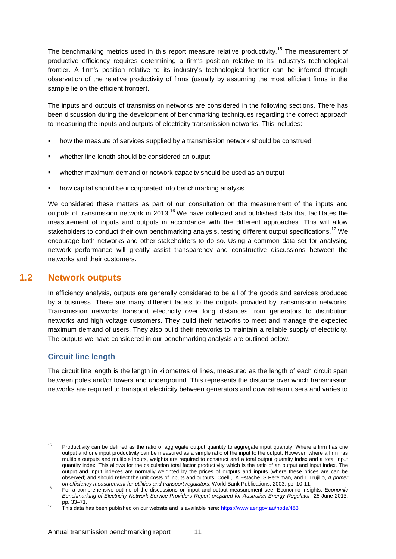The benchmarking metrics used in this report measure relative productivity.<sup>15</sup> The measurement of productive efficiency requires determining a firm's position relative to its industry's technological frontier. A firm's position relative to its industry's technological frontier can be inferred through observation of the relative productivity of firms (usually by assuming the most efficient firms in the sample lie on the efficient frontier).

The inputs and outputs of transmission networks are considered in the following sections. There has been discussion during the development of benchmarking techniques regarding the correct approach to measuring the inputs and outputs of electricity transmission networks. This includes:

- how the measure of services supplied by a transmission network should be construed
- whether line length should be considered an output
- whether maximum demand or network capacity should be used as an output
- how capital should be incorporated into benchmarking analysis

We considered these matters as part of our consultation on the measurement of the inputs and outputs of transmission network in 2013.<sup>16</sup> We have collected and published data that facilitates the measurement of inputs and outputs in accordance with the different approaches. This will allow stakeholders to conduct their own benchmarking analysis, testing different output specifications.<sup>17</sup> We encourage both networks and other stakeholders to do so. Using a common data set for analysing network performance will greatly assist transparency and constructive discussions between the networks and their customers.

### **1.2 Network outputs**

<span id="page-10-0"></span>In efficiency analysis, outputs are generally considered to be all of the goods and services produced by a business. There are many different facets to the outputs provided by transmission networks. Transmission networks transport electricity over long distances from generators to distribution networks and high voltage customers. They build their networks to meet and manage the expected maximum demand of users. They also build their networks to maintain a reliable supply of electricity. The outputs we have considered in our benchmarking analysis are outlined below.

### **Circuit line length**

1

The circuit line length is the length in kilometres of lines, measured as the length of each circuit span between poles and/or towers and underground. This represents the distance over which transmission networks are required to transport electricity between generators and downstream users and varies to

Productivity can be defined as the ratio of aggregate output quantity to aggregate input quantity. Where a firm has one output and one input productivity can be measured as a simple ratio of the input to the output. However, where a firm has multiple outputs and multiple inputs, weights are required to construct and a total output quantity index and a total input quantity index. This allows for the calculation total factor productivity which is the ratio of an output and input index. The output and input indexes are normally weighted by the prices of outputs and inputs (where these prices are can be observed) and should reflect the unit costs of inputs and outputs. Coelli, A Estache, S Perelman, and L Trujillo, *A primer on efficiency measurement for utilities and transport regulators*, World Bank Publications, 2003, pp. 10-11.

<sup>16</sup> For a comprehensive outline of the discussions on input and output measurement see: Economic Insights, *Economic Benchmarking of Electricity Network Service Providers Report prepared for Australian Energy Regulator*, 25 June 2013, pp. 33–71.

<sup>17</sup> This data has been published on our website and is available here:<https://www.aer.gov.au/node/483>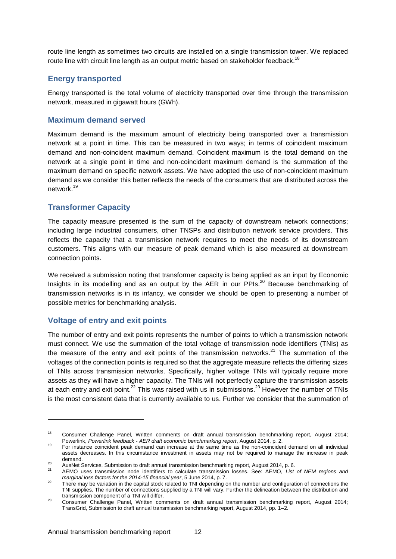route line length as sometimes two circuits are installed on a single transmission tower. We replaced route line with circuit line length as an output metric based on stakeholder feedback.<sup>18</sup>

#### **Energy transported**

Energy transported is the total volume of electricity transported over time through the transmission network, measured in gigawatt hours (GWh).

#### **Maximum demand served**

Maximum demand is the maximum amount of electricity being transported over a transmission network at a point in time. This can be measured in two ways; in terms of coincident maximum demand and non-coincident maximum demand. Coincident maximum is the total demand on the network at a single point in time and non-coincident maximum demand is the summation of the maximum demand on specific network assets. We have adopted the use of non-coincident maximum demand as we consider this better reflects the needs of the consumers that are distributed across the network. 19

#### **Transformer Capacity**

The capacity measure presented is the sum of the capacity of downstream network connections; including large industrial consumers, other TNSPs and distribution network service providers. This reflects the capacity that a transmission network requires to meet the needs of its downstream customers. This aligns with our measure of peak demand which is also measured at downstream connection points.

We received a submission noting that transformer capacity is being applied as an input by Economic Insights in its modelling and as an output by the AER in our PPIs.<sup>20</sup> Because benchmarking of transmission networks is in its infancy, we consider we should be open to presenting a number of possible metrics for benchmarking analysis.

#### **Voltage of entry and exit points**

-

The number of entry and exit points represents the number of points to which a transmission network must connect. We use the summation of the total voltage of transmission node identifiers (TNIs) as the measure of the entry and exit points of the transmission networks.<sup>21</sup> The summation of the voltages of the connection points is required so that the aggregate measure reflects the differing sizes of TNIs across transmission networks. Specifically, higher voltage TNIs will typically require more assets as they will have a higher capacity. The TNIs will not perfectly capture the transmission assets at each entry and exit point.<sup>22</sup> This was raised with us in submissions.<sup>23</sup> However the number of TNIs is the most consistent data that is currently available to us. Further we consider that the summation of

<sup>&</sup>lt;sup>18</sup> Consumer Challenge Panel, Written comments on draft annual transmission benchmarking report, August 2014; Powerlink, *Powerlink feedback - AER draft economic benchmarking report*, August 2014, p. 2.

<sup>19</sup> For instance coincident peak demand can increase at the same time as the non-coincident demand on all individual assets decreases. In this circumstance investment in assets may not be required to manage the increase in peak demand.

<sup>20</sup> Austriana.<br>20 AUSNet Services, Submission to draft annual transmission benchmarking report, August 2014, p. 6.<br>21 AEMO USS transmission pode identifiers to ople ulate transmission locate. See: AEMO List

<sup>21</sup> AEMO uses transmission node identifiers to calculate transmission losses. See: AEMO, *List of NEM regions and marginal loss factors for the 2014-15 financial year*, 5 June 2014, p. 7.

<sup>&</sup>lt;sup>22</sup> There may be variation in the capital stock related to TNI depending on the number and configuration of connections the TNI supplies. The number of connections supplied by a TNI will vary. Further the delineation between the distribution and transmission component of a TNI will differ.

<sup>23</sup> Consumer Challenge Panel, Written comments on draft annual transmission benchmarking report, August 2014; TransGrid, Submission to draft annual transmission benchmarking report, August 2014, pp. 1–2.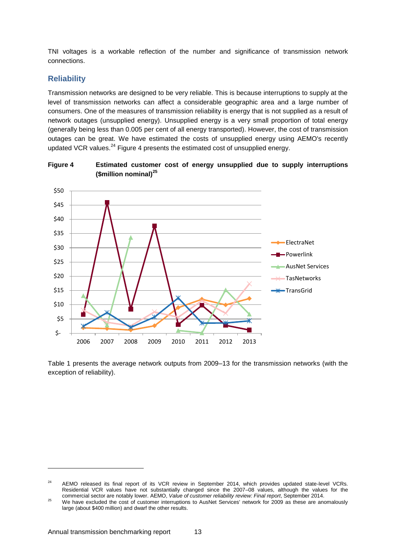TNI voltages is a workable reflection of the number and significance of transmission network connections.

#### **Reliability**

Transmission networks are designed to be very reliable. This is because interruptions to supply at the level of transmission networks can affect a considerable geographic area and a large number of consumers. One of the measures of transmission reliability is energy that is not supplied as a result of network outages (unsupplied energy). Unsupplied energy is a very small proportion of total energy (generally being less than 0.005 per cent of all energy transported). However, the cost of transmission outages can be great. We have estimated the costs of unsupplied energy using AEMO's recently updated VCR values. $^{24}$  [Figure 4](#page-12-0) presents the estimated cost of unsupplied energy.

<span id="page-12-0"></span>



[Table 1](#page-13-1) presents the average network outputs from 2009–13 for the transmission networks (with the exception of reliability).

1

<sup>&</sup>lt;sup>24</sup> AEMO released its final report of its VCR review in September 2014, which provides updated state-level VCRs. Residential VCR values have not substantially changed since the 2007–08 values, although the values for the commercial sector are notably lower. AEMO, *Value of customer reliability review: Final report*, September 2014.

<sup>&</sup>lt;sup>25</sup> We have excluded the cost of customer interruptions to AusNet Services' network for 2009 as these are anomalously large (about \$400 million) and dwarf the other results.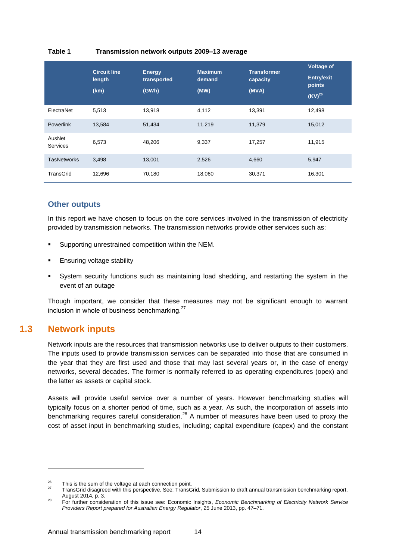#### <span id="page-13-1"></span>**Table 1 Transmission network outputs 2009–13 average**

|                           | <b>Circuit line</b><br>length<br>(km) | <b>Energy</b><br>transported<br>(GWh) | <b>Maximum</b><br>demand<br>(MW) | <b>Transformer</b><br>capacity<br>(MVA) | <b>Voltage of</b><br><b>Entry/exit</b><br>points<br>$(KV)^{26}$ |
|---------------------------|---------------------------------------|---------------------------------------|----------------------------------|-----------------------------------------|-----------------------------------------------------------------|
| ElectraNet                | 5,513                                 | 13,918                                | 4,112                            | 13,391                                  | 12,498                                                          |
| <b>Powerlink</b>          | 13,584                                | 51,434                                | 11,219                           | 11,379                                  | 15,012                                                          |
| AusNet<br><b>Services</b> | 6,573                                 | 48,206                                | 9,337                            | 17,257                                  | 11,915                                                          |
| <b>TasNetworks</b>        | 3,498                                 | 13,001                                | 2,526                            | 4,660                                   | 5,947                                                           |
| TransGrid                 | 12,696                                | 70,180                                | 18,060                           | 30,371                                  | 16,301                                                          |

#### **Other outputs**

In this report we have chosen to focus on the core services involved in the transmission of electricity provided by transmission networks. The transmission networks provide other services such as:

- Supporting unrestrained competition within the NEM.
- Ensuring voltage stability
- System security functions such as maintaining load shedding, and restarting the system in the event of an outage

Though important, we consider that these measures may not be significant enough to warrant inclusion in whole of business benchmarking. $27$ 

## **1.3 Network inputs**

1

<span id="page-13-0"></span>Network inputs are the resources that transmission networks use to deliver outputs to their customers. The inputs used to provide transmission services can be separated into those that are consumed in the year that they are first used and those that may last several years or, in the case of energy networks, several decades. The former is normally referred to as operating expenditures (opex) and the latter as assets or capital stock.

Assets will provide useful service over a number of years. However benchmarking studies will typically focus on a shorter period of time, such as a year. As such, the incorporation of assets into benchmarking requires careful consideration.<sup>28</sup> A number of measures have been used to proxy the cost of asset input in benchmarking studies, including; capital expenditure (capex) and the constant

 $\frac{26}{27}$  This is the sum of the voltage at each connection point.

<sup>27</sup> TransGrid disagreed with this perspective. See: TransGrid, Submission to draft annual transmission benchmarking report, August 2014, p. 3.

<sup>28</sup> For further consideration of this issue see: Economic Insights, *Economic Benchmarking of Electricity Network Service Providers Report prepared for Australian Energy Regulator*, 25 June 2013, pp. 47–71.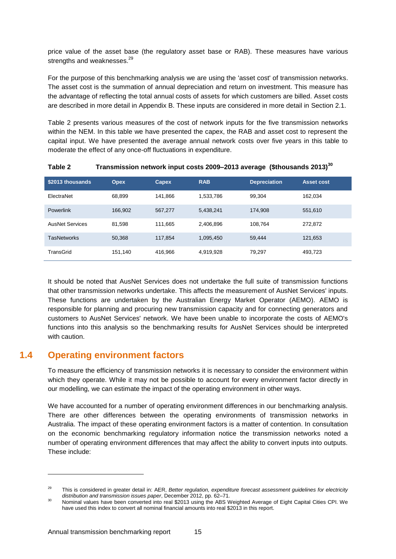price value of the asset base (the regulatory asset base or RAB). These measures have various strengths and weaknesses.<sup>29</sup>

For the purpose of this benchmarking analysis we are using the 'asset cost' of transmission networks. The asset cost is the summation of annual depreciation and return on investment. This measure has the advantage of reflecting the total annual costs of assets for which customers are billed. Asset costs are described in more detail in Appendix B. These inputs are considered in more detail in Section [2.1](#page-16-1)[.](#page-14-1)

[Table 2](#page-14-1) presents various measures of the cost of network inputs for the five transmission networks within the NEM. In this table we have presented the capex, the RAB and asset cost to represent the capital input. We have presented the average annual network costs over five years in this table to moderate the effect of any once-off fluctuations in expenditure.

| \$2013 thousands       | <b>Opex</b> | Capex   | <b>RAB</b> | <b>Depreciation</b> | <b>Asset cost</b> |
|------------------------|-------------|---------|------------|---------------------|-------------------|
| ElectraNet             | 68,899      | 141,866 | 1,533,786  | 99,304              | 162,034           |
| Powerlink              | 166,902     | 567.277 | 5,438,241  | 174,908             | 551,610           |
| <b>AusNet Services</b> | 81,598      | 111,665 | 2,406,896  | 108,764             | 272,872           |
| <b>TasNetworks</b>     | 50,368      | 117,854 | 1,095,450  | 59,444              | 121,653           |
| TransGrid              | 151,140     | 416,966 | 4,919,928  | 79,297              | 493,723           |

<span id="page-14-1"></span>**Table 2 Transmission network input costs 2009–2013 average (\$thousands 2013)<sup>30</sup>**

It should be noted that AusNet Services does not undertake the full suite of transmission functions that other transmission networks undertake. This affects the measurement of AusNet Services' inputs. These functions are undertaken by the Australian Energy Market Operator (AEMO). AEMO is responsible for planning and procuring new transmission capacity and for connecting generators and customers to AusNet Services' network. We have been unable to incorporate the costs of AEMO's functions into this analysis so the benchmarking results for AusNet Services should be interpreted with caution.

## **1.4 Operating environment factors**

<span id="page-14-0"></span>To measure the efficiency of transmission networks it is necessary to consider the environment within which they operate. While it may not be possible to account for every environment factor directly in our modelling, we can estimate the impact of the operating environment in other ways.

We have accounted for a number of operating environment differences in our benchmarking analysis. There are other differences between the operating environments of transmission networks in Australia. The impact of these operating environment factors is a matter of contention. In consultation on the economic benchmarking regulatory information notice the transmission networks noted a number of operating environment differences that may affect the ability to convert inputs into outputs. These include:

<sup>29</sup> This is considered in greater detail in: AER, *Better regulation, expenditure forecast assessment guidelines for electricity distribution and transmission issues paper*, December 2012, pp. 62–71.

<sup>30</sup> Nominal values have been converted into real \$2013 using the ABS Weighted Average of Eight Capital Cities CPI. We have used this index to convert all nominal financial amounts into real \$2013 in this report.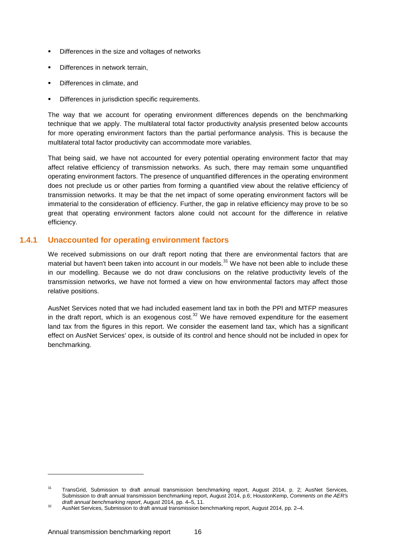- Differences in the size and voltages of networks
- Differences in network terrain,
- **•** Differences in climate, and
- Differences in jurisdiction specific requirements.

The way that we account for operating environment differences depends on the benchmarking technique that we apply. The multilateral total factor productivity analysis presented below accounts for more operating environment factors than the partial performance analysis. This is because the multilateral total factor productivity can accommodate more variables.

That being said, we have not accounted for every potential operating environment factor that may affect relative efficiency of transmission networks. As such, there may remain some unquantified operating environment factors. The presence of unquantified differences in the operating environment does not preclude us or other parties from forming a quantified view about the relative efficiency of transmission networks. It may be that the net impact of some operating environment factors will be immaterial to the consideration of efficiency. Further, the gap in relative efficiency may prove to be so great that operating environment factors alone could not account for the difference in relative efficiency.

#### **1.4.1 Unaccounted for operating environment factors**

<span id="page-15-0"></span>We received submissions on our draft report noting that there are environmental factors that are material but haven't been taken into account in our models.<sup>31</sup> We have not been able to include these in our modelling. Because we do not draw conclusions on the relative productivity levels of the transmission networks, we have not formed a view on how environmental factors may affect those relative positions.

AusNet Services noted that we had included easement land tax in both the PPI and MTFP measures in the draft report, which is an exogenous cost. $32$  We have removed expenditure for the easement land tax from the figures in this report. We consider the easement land tax, which has a significant effect on AusNet Services' opex, is outside of its control and hence should not be included in opex for benchmarking.

<sup>&</sup>lt;sup>31</sup> TransGrid, Submission to draft annual transmission benchmarking report, August 2014, p. 2; AusNet Services, Submission to draft annual transmission benchmarking report, August 2014, p.6; HoustonKemp, *Comments on the AER's draft annual benchmarking report*, August 2014, pp. 4–5, 11.

<sup>&</sup>lt;sup>32</sup> AusNet Services, Submission to draft annual transmission benchmarking report, August 2014, pp. 2–4.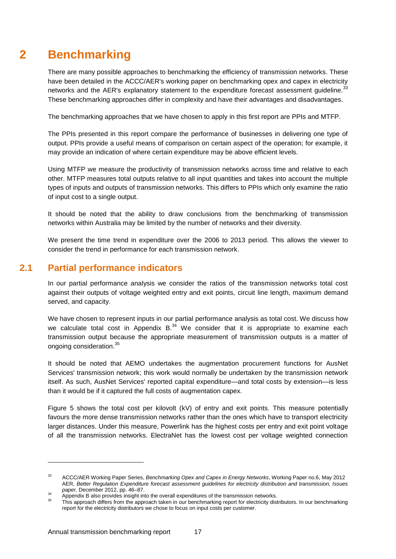## **2 Benchmarking**

<span id="page-16-0"></span>There are many possible approaches to benchmarking the efficiency of transmission networks. These have been detailed in the ACCC/AER's working paper on benchmarking opex and capex in electricity networks and the AER's explanatory statement to the expenditure forecast assessment guideline.<sup>33</sup> These benchmarking approaches differ in complexity and have their advantages and disadvantages.

The benchmarking approaches that we have chosen to apply in this first report are PPIs and MTFP.

The PPIs presented in this report compare the performance of businesses in delivering one type of output. PPIs provide a useful means of comparison on certain aspect of the operation; for example, it may provide an indication of where certain expenditure may be above efficient levels.

Using MTFP we measure the productivity of transmission networks across time and relative to each other. MTFP measures total outputs relative to all input quantities and takes into account the multiple types of inputs and outputs of transmission networks. This differs to PPIs which only examine the ratio of input cost to a single output.

It should be noted that the ability to draw conclusions from the benchmarking of transmission networks within Australia may be limited by the number of networks and their diversity.

We present the time trend in expenditure over the 2006 to 2013 period. This allows the viewer to consider the trend in performance for each transmission network.

### **2.1 Partial performance indicators**

<span id="page-16-1"></span>In our partial performance analysis we consider the ratios of the transmission networks total cost against their outputs of voltage weighted entry and exit points, circuit line length, maximum demand served, and capacity.

We have chosen to represent inputs in our partial performance analysis as total cost. We discuss how we calculate total cost in Appendix  $B^{34}$  We consider that it is appropriate to examine each transmission output because the appropriate measurement of transmission outputs is a matter of ongoing consideration.<sup>35</sup>

It should be noted that AEMO undertakes the augmentation procurement functions for AusNet Services' transmission network; this work would normally be undertaken by the transmission network itself. As such, AusNet Services' reported capital expenditure—and total costs by extension—is less than it would be if it captured the full costs of augmentation capex.

[Figure 5](#page-17-0) shows the total cost per kilovolt (kV) of entry and exit points. This measure potentially favours the more dense transmission networks rather than the ones which have to transport electricity larger distances. Under this measure, Powerlink has the highest costs per entry and exit point voltage of all the transmission networks. ElectraNet has the lowest cost per voltage weighted connection

<sup>33</sup> ACCC/AER Working Paper Series, *Benchmarking Opex and Capex in Energy Networks*, Working Paper no.6, May 2012 AER, *Better Regulation Expenditure forecast assessment guidelines for electricity distribution and transmission, Issues paper,* December 2012, pp. 46–87.

<sup>34</sup> Appendix B also provides insight into the overall expenditures of the transmission networks.

This approach differs from the approach taken in our benchmarking report for electricity distributors. In our benchmarking report for the electricity distributors we chose to focus on input costs per customer.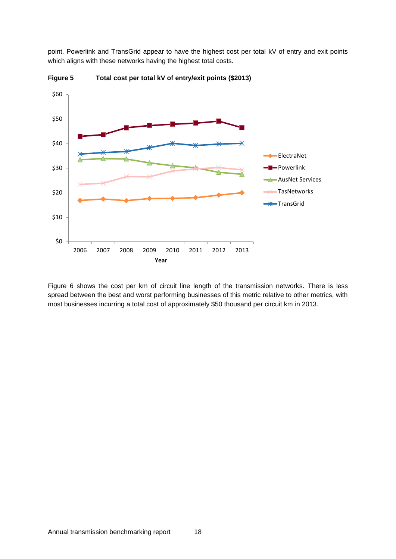point. Powerlink and TransGrid appear to have the highest cost per total kV of entry and exit points which aligns with these networks having the highest total costs.



<span id="page-17-0"></span>**Figure 5 Total cost per total kV of entry/exit points (\$2013)**

[Figure 6](#page-18-0) shows the cost per km of circuit line length of the transmission networks. There is less spread between the best and worst performing businesses of this metric relative to other metrics, with most businesses incurring a total cost of approximately \$50 thousand per circuit km in 2013.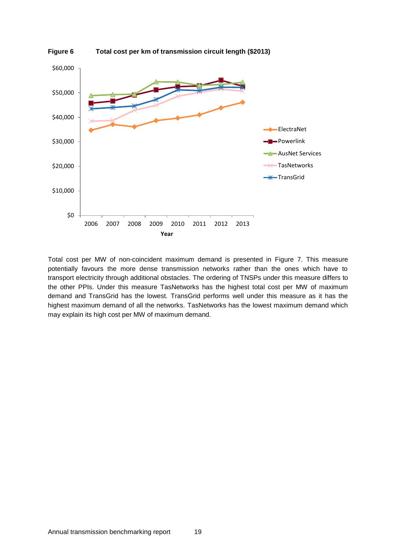<span id="page-18-0"></span>

Total cost per MW of non-coincident maximum demand is presented in [Figure 7.](#page-19-0) This measure potentially favours the more dense transmission networks rather than the ones which have to transport electricity through additional obstacles. The ordering of TNSPs under this measure differs to the other PPIs. Under this measure TasNetworks has the highest total cost per MW of maximum demand and TransGrid has the lowest. TransGrid performs well under this measure as it has the highest maximum demand of all the networks. TasNetworks has the lowest maximum demand which may explain its high cost per MW of maximum demand.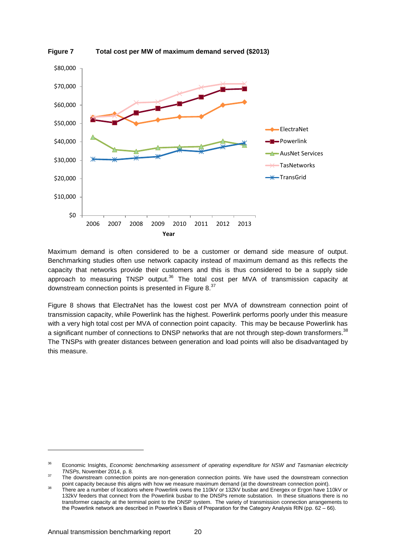

<span id="page-19-0"></span>**Figure 7 Total cost per MW of maximum demand served (\$2013)**

Maximum demand is often considered to be a customer or demand side measure of output. Benchmarking studies often use network capacity instead of maximum demand as this reflects the capacity that networks provide their customers and this is thus considered to be a supply side approach to measuring TNSP output.<sup>36</sup> The total cost per MVA of transmission capacity at downstream connection points is presented in [Figure 8.](#page-20-0)<sup>37</sup>

[Figure 8](#page-20-0) shows that ElectraNet has the lowest cost per MVA of downstream connection point of transmission capacity, while Powerlink has the highest. Powerlink performs poorly under this measure with a very high total cost per MVA of connection point capacity. This may be because Powerlink has a significant number of connections to DNSP networks that are not through step-down transformers.<sup>38</sup> The TNSPs with greater distances between generation and load points will also be disadvantaged by this measure.

<sup>36</sup> Economic Insights, *Economic benchmarking assessment of operating expenditure for NSW and Tasmanian electricity TNSPs*, November 2014, p. 8.

<sup>&</sup>lt;sup>37</sup> The downstream connection points are non-generation connection points. We have used the downstream connection point capacity because this aligns with how we measure maximum demand (at the downstream connection point).

<sup>&</sup>lt;sup>38</sup> There are a number of locations where Powerlink owns the 110kV or 132kV busbar and Energex or Ergon have 110kV or 132kV feeders that connect from the Powerlink busbar to the DNSPs remote substation. In these situations there is no transformer capacity at the terminal point to the DNSP system. The variety of transmission connection arrangements to the Powerlink network are described in Powerlink's Basis of Preparation for the Category Analysis RIN (pp. 62 – 66).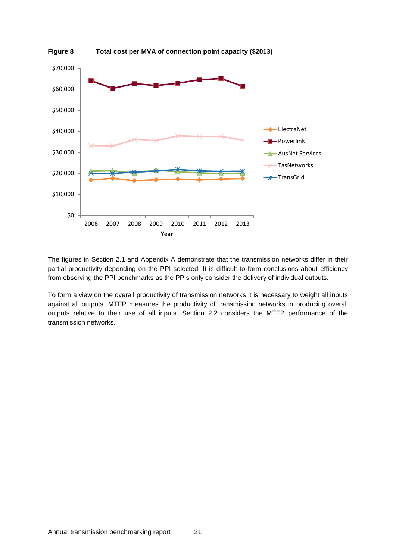<span id="page-20-0"></span>

The figures in Section 2.1 and Appendix A demonstrate that the transmission networks differ in their partial productivity depending on the PPI selected. It is difficult to form conclusions about efficiency from observing the PPI benchmarks as the PPIs only consider the delivery of individual outputs.

To form a view on the overall productivity of transmission networks it is necessary to weight all inputs against all outputs. MTFP measures the productivity of transmission networks in producing overall outputs relative to their use of all inputs. Section 2.2 considers the MTFP performance of the transmission networks.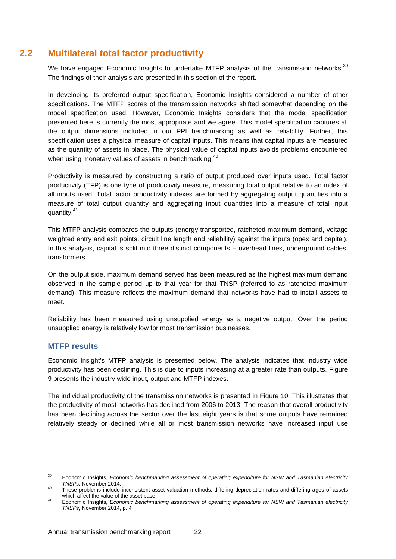## **2.2 Multilateral total factor productivity**

<span id="page-21-0"></span>We have engaged Economic Insights to undertake MTFP analysis of the transmission networks.<sup>39</sup> The findings of their analysis are presented in this section of the report.

In developing its preferred output specification, Economic Insights considered a number of other specifications. The MTFP scores of the transmission networks shifted somewhat depending on the model specification used. However, Economic Insights considers that the model specification presented here is currently the most appropriate and we agree. This model specification captures all the output dimensions included in our PPI benchmarking as well as reliability. Further, this specification uses a physical measure of capital inputs. This means that capital inputs are measured as the quantity of assets in place. The physical value of capital inputs avoids problems encountered when using monetary values of assets in benchmarking.<sup>40</sup>

Productivity is measured by constructing a ratio of output produced over inputs used. Total factor productivity (TFP) is one type of productivity measure, measuring total output relative to an index of all inputs used. Total factor productivity indexes are formed by aggregating output quantities into a measure of total output quantity and aggregating input quantities into a measure of total input quantity.<sup>41</sup>

This MTFP analysis compares the outputs (energy transported, ratcheted maximum demand, voltage weighted entry and exit points, circuit line length and reliability) against the inputs (opex and capital). In this analysis, capital is split into three distinct components – overhead lines, underground cables, transformers.

On the output side, maximum demand served has been measured as the highest maximum demand observed in the sample period up to that year for that TNSP (referred to as ratcheted maximum demand). This measure reflects the maximum demand that networks have had to install assets to meet.

Reliability has been measured using unsupplied energy as a negative output. Over the period unsupplied energy is relatively low for most transmission businesses.

#### **MTFP results**

-

Economic Insight's MTFP analysis is presented below. The analysis indicates that industry wide productivity has been declining. This is due to inputs increasing at a greater rate than outputs. [Figure](#page-23-0)  [9](#page-23-0) presents the industry wide input, output and MTFP indexes.

The individual productivity of the transmission networks is presented in [Figure 10.](#page-24-0) This illustrates that the productivity of most networks has declined from 2006 to 2013. The reason that overall productivity has been declining across the sector over the last eight years is that some outputs have remained relatively steady or declined while all or most transmission networks have increased input use

<sup>39</sup> Economic Insights, *Economic benchmarking assessment of operating expenditure for NSW and Tasmanian electricity TNSPs*, November 2014.

<sup>40</sup> These problems include inconsistent asset valuation methods, differing depreciation rates and differing ages of assets which affect the value of the asset base.

<sup>41</sup> Economic Insights, *Economic benchmarking assessment of operating expenditure for NSW and Tasmanian electricity TNSPs*, November 2014, p. 4.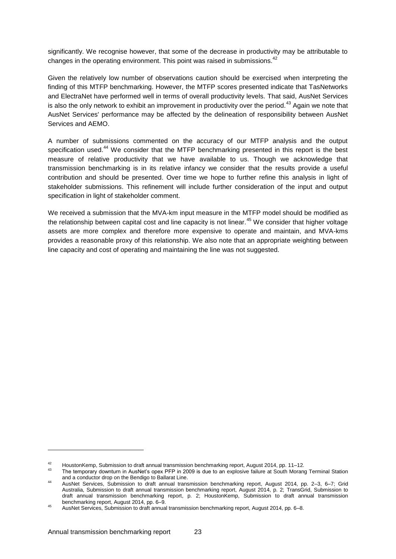significantly. We recognise however, that some of the decrease in productivity may be attributable to changes in the operating environment. This point was raised in submissions.<sup>42</sup>

Given the relatively low number of observations caution should be exercised when interpreting the finding of this MTFP benchmarking. However, the MTFP scores presented indicate that TasNetworks and ElectraNet have performed well in terms of overall productivity levels. That said, AusNet Services is also the only network to exhibit an improvement in productivity over the period.<sup>43</sup> Again we note that AusNet Services' performance may be affected by the delineation of responsibility between AusNet Services and AEMO.

A number of submissions commented on the accuracy of our MTFP analysis and the output specification used.<sup>44</sup> We consider that the MTFP benchmarking presented in this report is the best measure of relative productivity that we have available to us. Though we acknowledge that transmission benchmarking is in its relative infancy we consider that the results provide a useful contribution and should be presented. Over time we hope to further refine this analysis in light of stakeholder submissions. This refinement will include further consideration of the input and output specification in light of stakeholder comment.

We received a submission that the MVA-km input measure in the MTFP model should be modified as the relationship between capital cost and line capacity is not linear.<sup>45</sup> We consider that higher voltage assets are more complex and therefore more expensive to operate and maintain, and MVA-kms provides a reasonable proxy of this relationship. We also note that an appropriate weighting between line capacity and cost of operating and maintaining the line was not suggested.

<sup>42</sup> HoustonKemp, Submission to draft annual transmission benchmarking report, August 2014, pp. 11–12.<br>43 The temperature in Augustine and PER in 2000 is due to an explosive failure at South Merca.

The temporary downturn in AusNet's opex PFP in 2009 is due to an explosive failure at South Morang Terminal Station and a conductor drop on the Bendigo to Ballarat Line.

<sup>44</sup> AusNet Services, Submission to draft annual transmission benchmarking report, August 2014, pp. 2–3, 6–7; Grid Australia, Submission to draft annual transmission benchmarking report, August 2014, p. 2; TransGrid, Submission to draft annual transmission benchmarking report, p. 2; HoustonKemp, Submission to draft annual transmission benchmarking report, August 2014, pp. 6–9.

<sup>45</sup> AusNet Services, Submission to draft annual transmission benchmarking report, August 2014, pp. 6–8.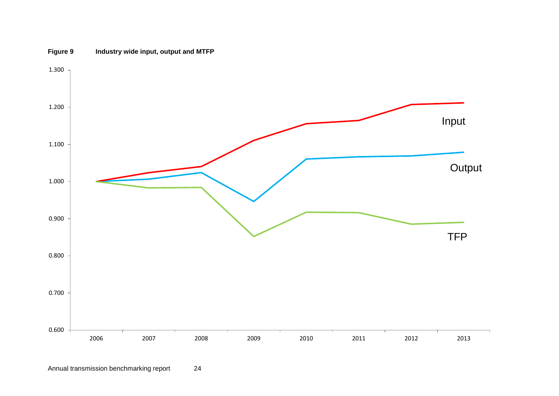<span id="page-23-0"></span>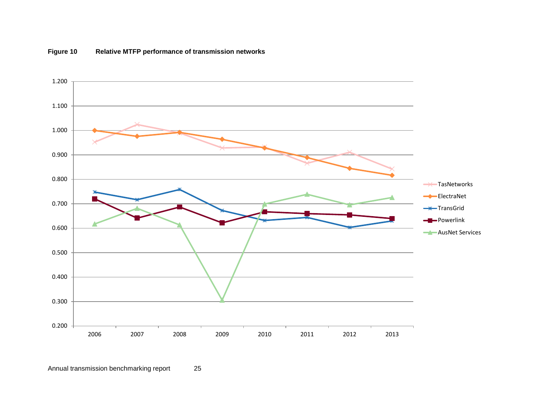<span id="page-24-0"></span>

#### **Figure 10 Relative MTFP performance of transmission networks**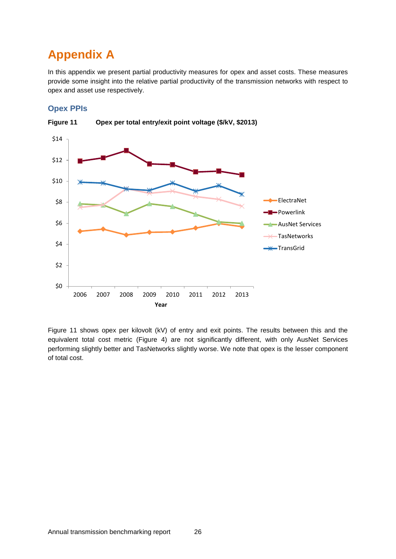## <span id="page-25-0"></span>**Appendix A**

In this appendix we present partial productivity measures for opex and asset costs. These measures provide some insight into the relative partial productivity of the transmission networks with respect to opex and asset use respectively.

### **Opex PPIs**



<span id="page-25-1"></span>**Figure 11 Opex per total entry/exit point voltage (\$/kV, \$2013)**

[Figure 11](#page-25-1) shows opex per kilovolt (kV) of entry and exit points. The results between this and the equivalent total cost metric (Figure 4) are not significantly different, with only AusNet Services performing slightly better and TasNetworks slightly worse. We note that opex is the lesser component of total cost.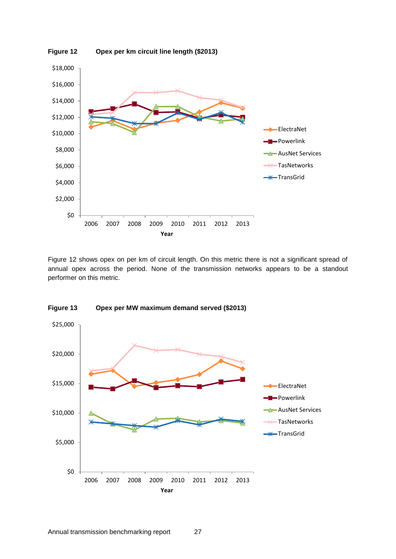<span id="page-26-0"></span>

[Figure 12](#page-26-0) shows opex on per km of circuit length. On this metric there is not a significant spread of annual opex across the period. None of the transmission networks appears to be a standout performer on this metric.



<span id="page-26-1"></span>**Figure 13 Opex per MW maximum demand served (\$2013)**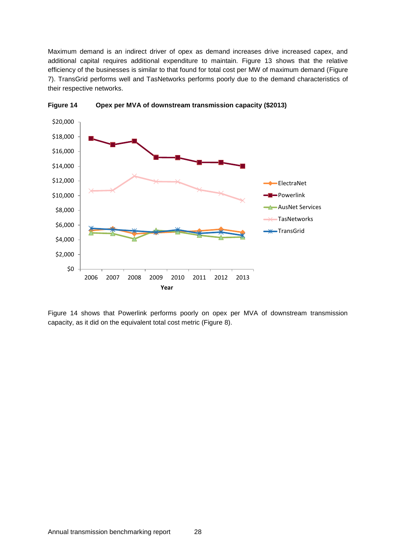Maximum demand is an indirect driver of opex as demand increases drive increased capex, and additional capital requires additional expenditure to maintain. [Figure 13](#page-26-1) shows that the relative efficiency of the businesses is similar to that found for total cost per MW of maximum demand [\(Figure](#page-19-0)  [7\)](#page-19-0). TransGrid performs well and TasNetworks performs poorly due to the demand characteristics of their respective networks.



<span id="page-27-0"></span>**Figure 14 Opex per MVA of downstream transmission capacity (\$2013)**

[Figure 14](#page-27-0) shows that Powerlink performs poorly on opex per MVA of downstream transmission capacity, as it did on the equivalent total cost metric (Figure 8).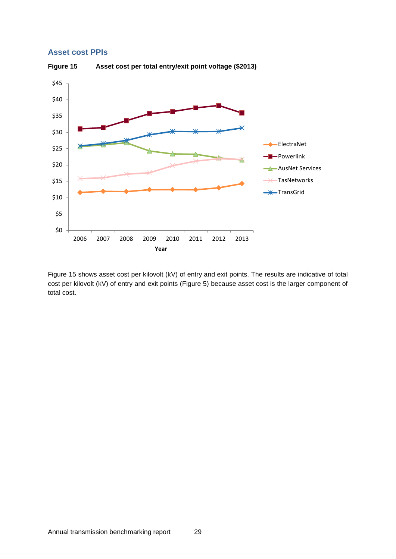#### **Asset cost PPIs**

<span id="page-28-0"></span>

[Figure 15](#page-28-0) shows asset cost per kilovolt (kV) of entry and exit points. The results are indicative of total cost per kilovolt (kV) of entry and exit points [\(Figure 5\)](#page-17-0) because asset cost is the larger component of total cost.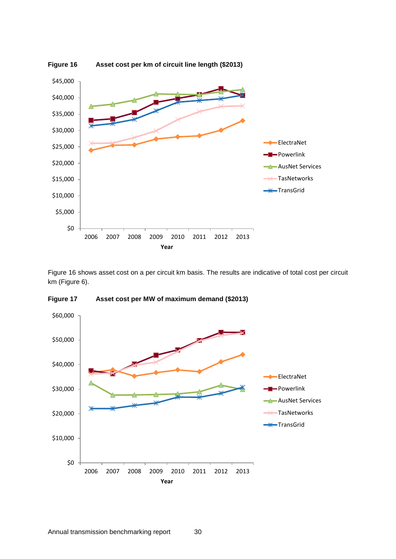<span id="page-29-0"></span>

[Figure 16](#page-29-0) shows asset cost on a per circuit km basis. The results are indicative of total cost per circuit km [\(Figure 6\)](#page-18-0).



**Figure 17 Asset cost per MW of maximum demand (\$2013)**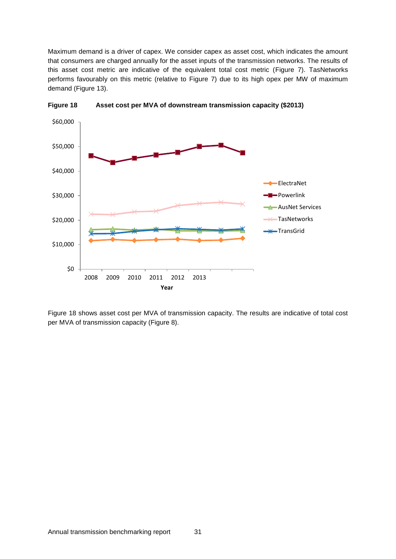Maximum demand is a driver of capex. We consider capex as asset cost, which indicates the amount that consumers are charged annually for the asset inputs of the transmission networks. The results of this asset cost metric are indicative of the equivalent total cost metric [\(Figure 7\)](#page-19-0). TasNetworks performs favourably on this metric (relative to [Figure 7\)](#page-19-0) due to its high opex per MW of maximum demand [\(Figure 13\)](#page-26-1).



<span id="page-30-0"></span>**Figure 18 Asset cost per MVA of downstream transmission capacity (\$2013)**

[Figure 18](#page-30-0) shows asset cost per MVA of transmission capacity. The results are indicative of total cost per MVA of transmission capacity [\(Figure 8\)](#page-20-0).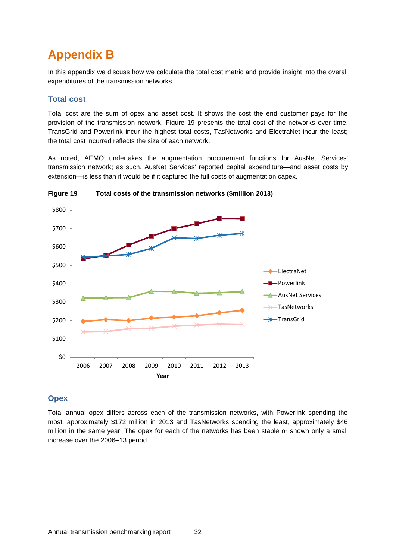## <span id="page-31-0"></span>**Appendix B**

In this appendix we discuss how we calculate the total cost metric and provide insight into the overall expenditures of the transmission networks.

#### **Total cost**

Total cost are the sum of opex and asset cost. It shows the cost the end customer pays for the provision of the transmission network. [Figure 19](#page-31-1) presents the total cost of the networks over time. TransGrid and Powerlink incur the highest total costs, TasNetworks and ElectraNet incur the least; the total cost incurred reflects the size of each network.

As noted, AEMO undertakes the augmentation procurement functions for AusNet Services' transmission network; as such, AusNet Services' reported capital expenditure—and asset costs by extension—is less than it would be if it captured the full costs of augmentation capex.



<span id="page-31-1"></span>**Figure 19 Total costs of the transmission networks (\$million 2013)**

#### **Opex**

Total annual opex differs across each of the transmission networks, with Powerlink spending the most, approximately \$172 million in 2013 and TasNetworks spending the least, approximately \$46 million in the same year. The opex for each of the networks has been stable or shown only a small increase over the 2006–13 period.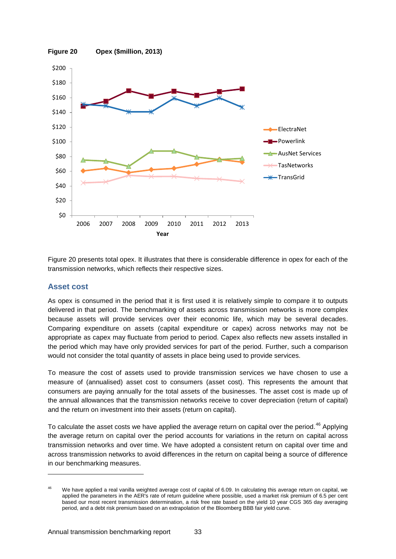<span id="page-32-0"></span>

[Figure 20](#page-32-0) presents total opex. It illustrates that there is considerable difference in opex for each of the transmission networks, which reflects their respective sizes.

#### **Asset cost**

-

As opex is consumed in the period that it is first used it is relatively simple to compare it to outputs delivered in that period. The benchmarking of assets across transmission networks is more complex because assets will provide services over their economic life, which may be several decades. Comparing expenditure on assets (capital expenditure or capex) across networks may not be appropriate as capex may fluctuate from period to period. Capex also reflects new assets installed in the period which may have only provided services for part of the period. Further, such a comparison would not consider the total quantity of assets in place being used to provide services.

To measure the cost of assets used to provide transmission services we have chosen to use a measure of (annualised) asset cost to consumers (asset cost). This represents the amount that consumers are paying annually for the total assets of the businesses. The asset cost is made up of the annual allowances that the transmission networks receive to cover depreciation (return of capital) and the return on investment into their assets (return on capital).

To calculate the asset costs we have applied the average return on capital over the period.<sup>46</sup> Applying the average return on capital over the period accounts for variations in the return on capital across transmission networks and over time. We have adopted a consistent return on capital over time and across transmission networks to avoid differences in the return on capital being a source of difference in our benchmarking measures.

<sup>&</sup>lt;sup>46</sup> We have applied a real vanilla weighted average cost of capital of 6.09. In calculating this average return on capital, we applied the parameters in the AER's rate of return guideline where possible, used a market risk premium of 6.5 per cent based our most recent transmission determination, a risk free rate based on the yield 10 year CGS 365 day averaging period, and a debt risk premium based on an extrapolation of the Bloomberg BBB fair yield curve.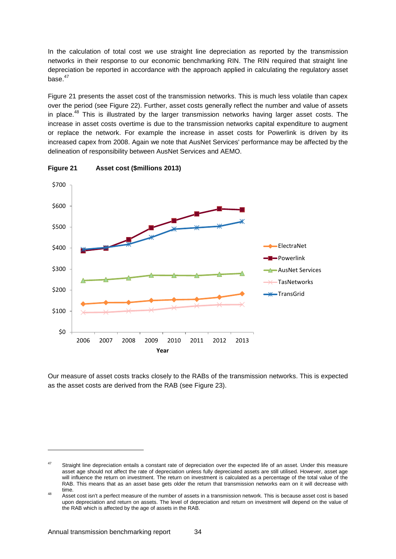In the calculation of total cost we use straight line depreciation as reported by the transmission networks in their response to our economic benchmarking RIN. The RIN required that straight line depreciation be reported in accordance with the approach applied in calculating the regulatory asset base.<sup>47</sup>

[Figure 21](#page-33-0) presents the asset cost of the transmission networks. This is much less volatile than capex over the period (see [Figure 22\)](#page-34-0). Further, asset costs generally reflect the number and value of assets in place.<sup>48</sup> This is illustrated by the larger transmission networks having larger asset costs. The increase in asset costs overtime is due to the transmission networks capital expenditure to augment or replace the network. For example the increase in asset costs for Powerlink is driven by its increased capex from 2008. Again we note that AusNet Services' performance may be affected by the delineation of responsibility between AusNet Services and AEMO.



<span id="page-33-0"></span>

Our measure of asset costs tracks closely to the RABs of the transmission networks. This is expected as the asset costs are derived from the RAB (see [Figure 23\)](#page-35-0).

<sup>&</sup>lt;sup>47</sup> Straight line depreciation entails a constant rate of depreciation over the expected life of an asset. Under this measure asset age should not affect the rate of depreciation unless fully depreciated assets are still utilised. However, asset age will influence the return on investment. The return on investment is calculated as a percentage of the total value of the RAB. This means that as an asset base gets older the return that transmission networks earn on it will decrease with time.

<sup>&</sup>lt;sup>48</sup> Asset cost isn't a perfect measure of the number of assets in a transmission network. This is because asset cost is based upon depreciation and return on assets. The level of depreciation and return on investment will depend on the value of the RAB which is affected by the age of assets in the RAB.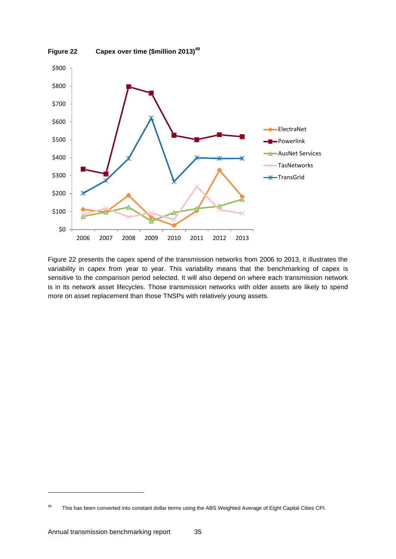<span id="page-34-0"></span>

[Figure 22](#page-34-0) presents the capex spend of the transmission networks from 2006 to 2013, it illustrates the variability in capex from year to year. This variability means that the benchmarking of capex is sensitive to the comparison period selected. It will also depend on where each transmission network is in its network asset lifecycles. Those transmission networks with older assets are likely to spend more on asset replacement than those TNSPs with relatively young assets.

1

<sup>&</sup>lt;sup>49</sup> This has been converted into constant dollar terms using the ABS Weighted Average of Eight Capital Cities CPI.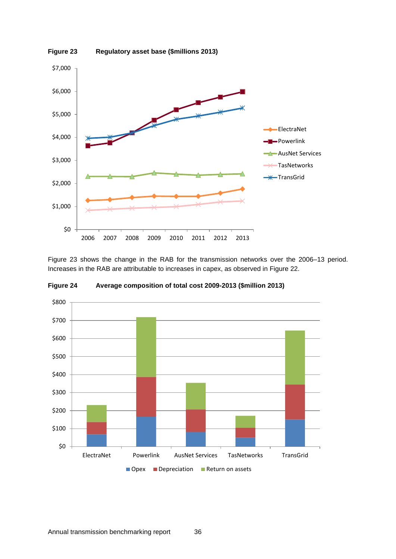<span id="page-35-0"></span>

[Figure 23](#page-35-0) shows the change in the RAB for the transmission networks over the 2006–13 period. Increases in the RAB are attributable to increases in capex, as observed in [Figure 22.](#page-34-0)



<span id="page-35-1"></span>**Figure 24 Average composition of total cost 2009-2013 (\$million 2013)**